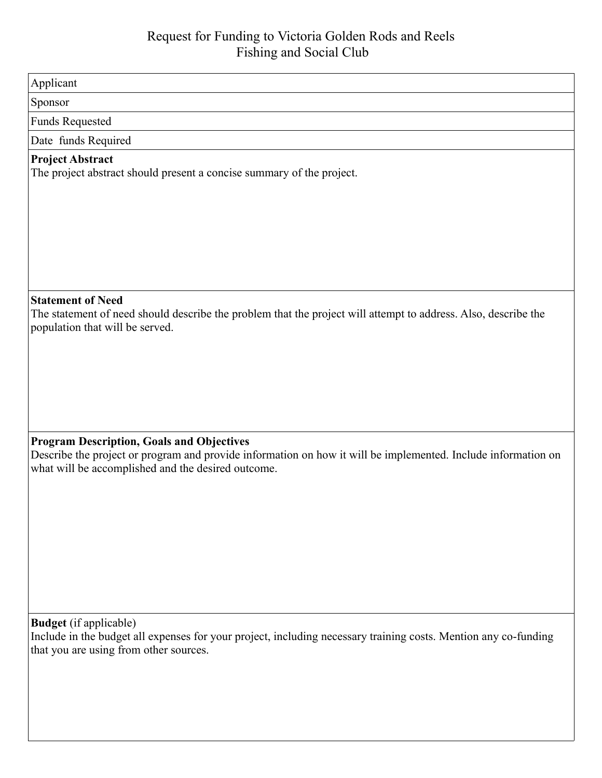| Applicant                                                                                                                                                                                                               |
|-------------------------------------------------------------------------------------------------------------------------------------------------------------------------------------------------------------------------|
| Sponsor                                                                                                                                                                                                                 |
| <b>Funds Requested</b>                                                                                                                                                                                                  |
| Date funds Required                                                                                                                                                                                                     |
| <b>Project Abstract</b><br>The project abstract should present a concise summary of the project.                                                                                                                        |
| <b>Statement of Need</b><br>The statement of need should describe the problem that the project will attempt to address. Also, describe the<br>population that will be served.                                           |
| <b>Program Description, Goals and Objectives</b><br>Describe the project or program and provide information on how it will be implemented. Include information on<br>what will be accomplished and the desired outcome. |
| <b>Budget</b> (if applicable)<br>Include in the budget all expenses for your project, including necessary training costs. Mention any co-funding<br>that you are using from other sources.                              |